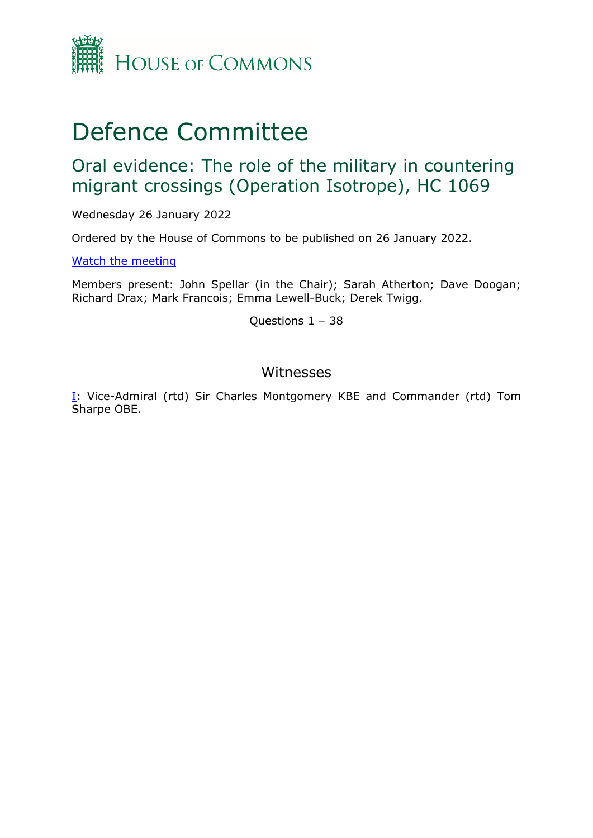

# Defence Committee

## Oral evidence: The role of the military in countering migrant crossings (Operation Isotrope), HC 1069

Wednesday 26 January 2022

Ordered by the House of Commons to be published on 26 January 2022.

[Watch](https://www.parliamentlive.tv/Event/Index/66ba625f-c931-496a-8c74-667ff0ba5f77) [the](https://www.parliamentlive.tv/Event/Index/66ba625f-c931-496a-8c74-667ff0ba5f77) [meeting](https://www.parliamentlive.tv/Event/Index/66ba625f-c931-496a-8c74-667ff0ba5f77)

Members present: John Spellar (in the Chair); Sarah Atherton; Dave Doogan; Richard Drax; Mark Francois; Emma Lewell-Buck; Derek Twigg.

Questions 1 – 38

## Witnesses

[I:](#page-1-0) Vice-Admiral (rtd) Sir Charles Montgomery KBE and Commander (rtd) Tom Sharpe OBE.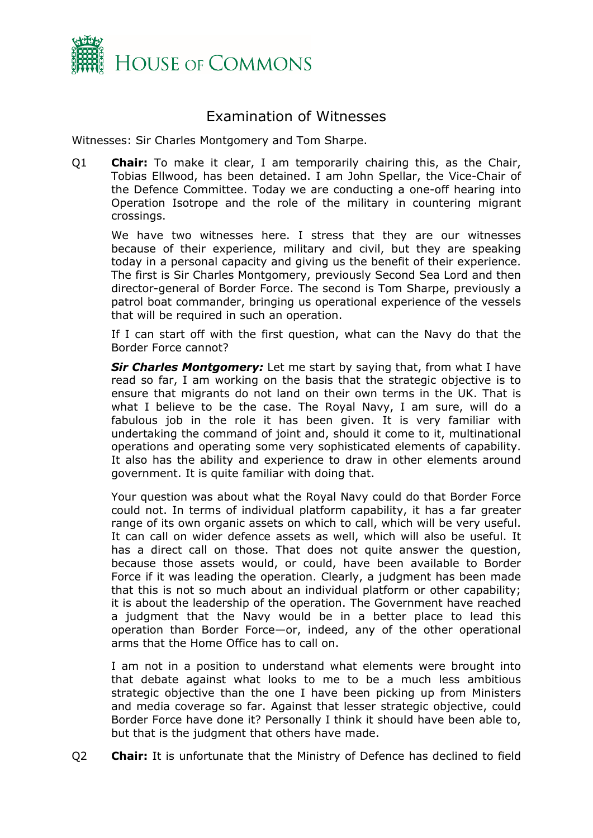

## Examination of Witnesses

<span id="page-1-0"></span>Witnesses: Sir Charles Montgomery and Tom Sharpe.

Q1 **Chair:** To make it clear, I am temporarily chairing this, as the Chair, Tobias Ellwood, has been detained. I am John Spellar, the Vice-Chair of the Defence Committee. Today we are conducting a one-off hearing into Operation Isotrope and the role of the military in countering migrant crossings.

We have two witnesses here. I stress that they are our witnesses because of their experience, military and civil, but they are speaking today in a personal capacity and giving us the benefit of their experience. The first is Sir Charles Montgomery, previously Second Sea Lord and then director-general of Border Force. The second is Tom Sharpe, previously a patrol boat commander, bringing us operational experience of the vessels that will be required in such an operation.

If I can start off with the first question, what can the Navy do that the Border Force cannot?

*Sir Charles Montgomery:* Let me start by saying that, from what I have read so far, I am working on the basis that the strategic objective is to ensure that migrants do not land on their own terms in the UK. That is what I believe to be the case. The Royal Navy, I am sure, will do a fabulous job in the role it has been given. It is very familiar with undertaking the command of joint and, should it come to it, multinational operations and operating some very sophisticated elements of capability. It also has the ability and experience to draw in other elements around government. It is quite familiar with doing that.

Your question was about what the Royal Navy could do that Border Force could not. In terms of individual platform capability, it has a far greater range of its own organic assets on which to call, which will be very useful. It can call on wider defence assets as well, which will also be useful. It has a direct call on those. That does not quite answer the question, because those assets would, or could, have been available to Border Force if it was leading the operation. Clearly, a judgment has been made that this is not so much about an individual platform or other capability; it is about the leadership of the operation. The Government have reached a judgment that the Navy would be in a better place to lead this operation than Border Force—or, indeed, any of the other operational arms that the Home Office has to call on.

I am not in a position to understand what elements were brought into that debate against what looks to me to be a much less ambitious strategic objective than the one I have been picking up from Ministers and media coverage so far. Against that lesser strategic objective, could Border Force have done it? Personally I think it should have been able to, but that is the judgment that others have made.

Q2 **Chair:** It is unfortunate that the Ministry of Defence has declined to field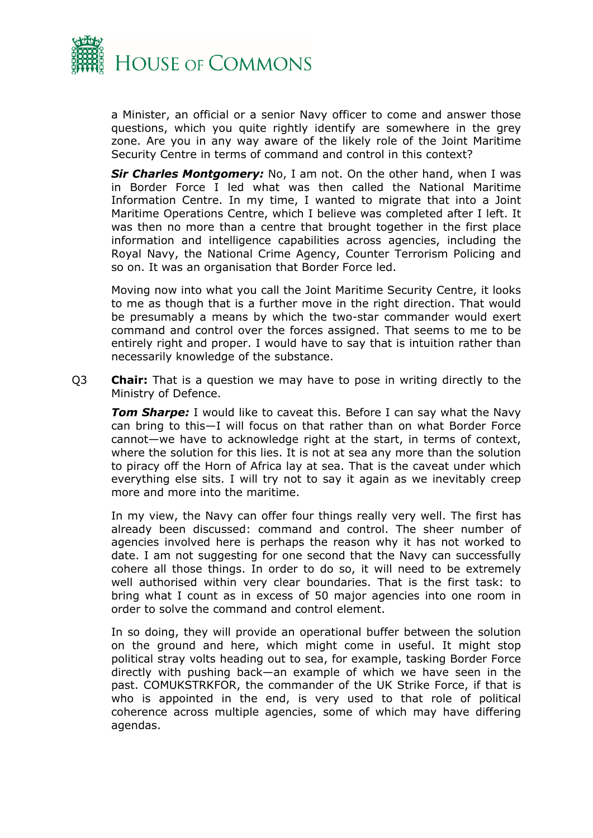

a Minister, an official or a senior Navy officer to come and answer those questions, which you quite rightly identify are somewhere in the grey zone. Are you in any way aware of the likely role of the Joint Maritime Security Centre in terms of command and control in this context?

*Sir Charles Montgomery:* No, I am not. On the other hand, when I was in Border Force I led what was then called the National Maritime Information Centre. In my time, I wanted to migrate that into a Joint Maritime Operations Centre, which I believe was completed after I left. It was then no more than a centre that brought together in the first place information and intelligence capabilities across agencies, including the Royal Navy, the National Crime Agency, Counter Terrorism Policing and so on. It was an organisation that Border Force led.

Moving now into what you call the Joint Maritime Security Centre, it looks to me as though that is a further move in the right direction. That would be presumably a means by which the two-star commander would exert command and control over the forces assigned. That seems to me to be entirely right and proper. I would have to say that is intuition rather than necessarily knowledge of the substance.

Q3 **Chair:** That is a question we may have to pose in writing directly to the Ministry of Defence.

*Tom Sharpe:* I would like to caveat this. Before I can say what the Navy can bring to this—I will focus on that rather than on what Border Force cannot—we have to acknowledge right at the start, in terms of context, where the solution for this lies. It is not at sea any more than the solution to piracy off the Horn of Africa lay at sea. That is the caveat under which everything else sits. I will try not to say it again as we inevitably creep more and more into the maritime.

In my view, the Navy can offer four things really very well. The first has already been discussed: command and control. The sheer number of agencies involved here is perhaps the reason why it has not worked to date. I am not suggesting for one second that the Navy can successfully cohere all those things. In order to do so, it will need to be extremely well authorised within very clear boundaries. That is the first task: to bring what I count as in excess of 50 major agencies into one room in order to solve the command and control element.

In so doing, they will provide an operational buffer between the solution on the ground and here, which might come in useful. It might stop political stray volts heading out to sea, for example, tasking Border Force directly with pushing back—an example of which we have seen in the past. COMUKSTRKFOR, the commander of the UK Strike Force, if that is who is appointed in the end, is very used to that role of political coherence across multiple agencies, some of which may have differing agendas.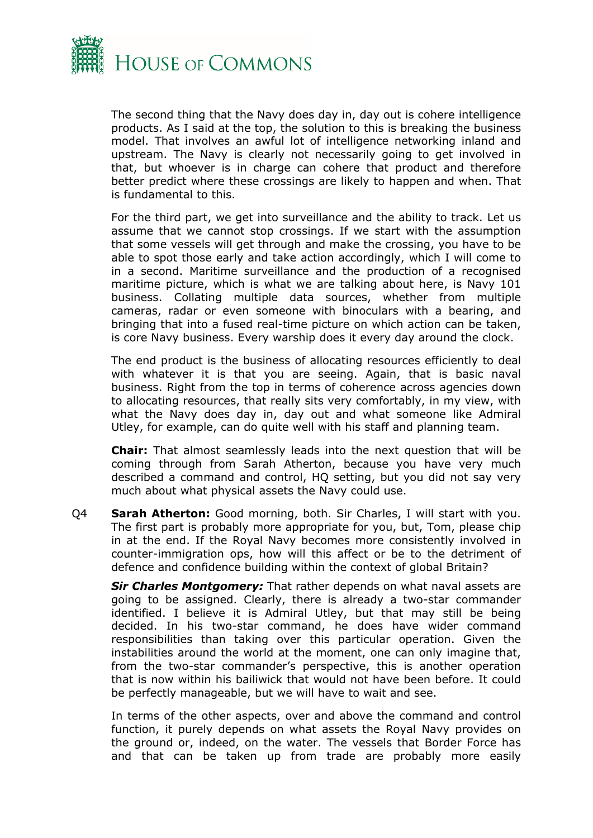

The second thing that the Navy does day in, day out is cohere intelligence products. As I said at the top, the solution to this is breaking the business model. That involves an awful lot of intelligence networking inland and upstream. The Navy is clearly not necessarily going to get involved in that, but whoever is in charge can cohere that product and therefore better predict where these crossings are likely to happen and when. That is fundamental to this.

For the third part, we get into surveillance and the ability to track. Let us assume that we cannot stop crossings. If we start with the assumption that some vessels will get through and make the crossing, you have to be able to spot those early and take action accordingly, which I will come to in a second. Maritime surveillance and the production of a recognised maritime picture, which is what we are talking about here, is Navy 101 business. Collating multiple data sources, whether from multiple cameras, radar or even someone with binoculars with a bearing, and bringing that into a fused real-time picture on which action can be taken, is core Navy business. Every warship does it every day around the clock.

The end product is the business of allocating resources efficiently to deal with whatever it is that you are seeing. Again, that is basic naval business. Right from the top in terms of coherence across agencies down to allocating resources, that really sits very comfortably, in my view, with what the Navy does day in, day out and what someone like Admiral Utley, for example, can do quite well with his staff and planning team.

**Chair:** That almost seamlessly leads into the next question that will be coming through from Sarah Atherton, because you have very much described a command and control, HQ setting, but you did not say very much about what physical assets the Navy could use.

Q4 **Sarah Atherton:** Good morning, both. Sir Charles, I will start with you. The first part is probably more appropriate for you, but, Tom, please chip in at the end. If the Royal Navy becomes more consistently involved in counter-immigration ops, how will this affect or be to the detriment of defence and confidence building within the context of global Britain?

*Sir Charles Montgomery:* That rather depends on what naval assets are going to be assigned. Clearly, there is already a two-star commander identified. I believe it is Admiral Utley, but that may still be being decided. In his two-star command, he does have wider command responsibilities than taking over this particular operation. Given the instabilities around the world at the moment, one can only imagine that, from the two-star commander's perspective, this is another operation that is now within his bailiwick that would not have been before. It could be perfectly manageable, but we will have to wait and see.

In terms of the other aspects, over and above the command and control function, it purely depends on what assets the Royal Navy provides on the ground or, indeed, on the water. The vessels that Border Force has and that can be taken up from trade are probably more easily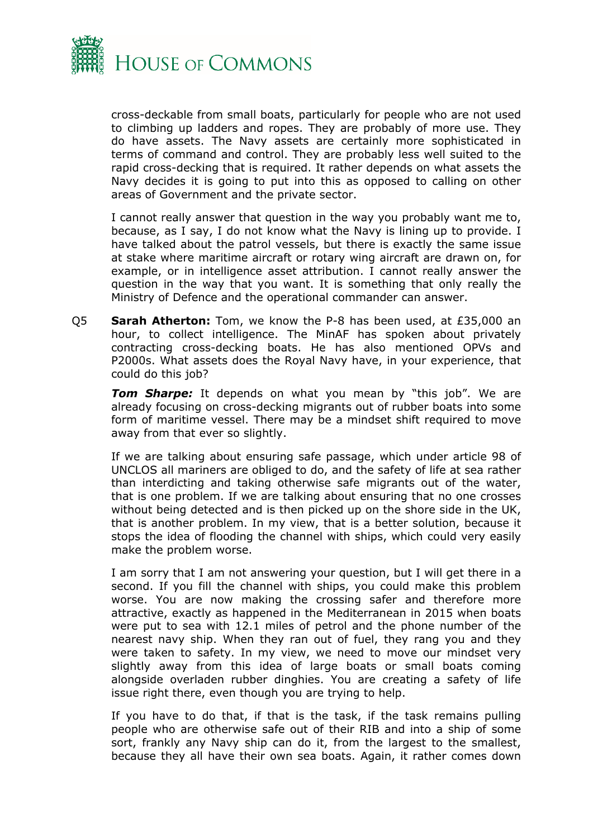

cross-deckable from small boats, particularly for people who are not used to climbing up ladders and ropes. They are probably of more use. They do have assets. The Navy assets are certainly more sophisticated in terms of command and control. They are probably less well suited to the rapid cross-decking that is required. It rather depends on what assets the Navy decides it is going to put into this as opposed to calling on other areas of Government and the private sector.

I cannot really answer that question in the way you probably want me to, because, as I say, I do not know what the Navy is lining up to provide. I have talked about the patrol vessels, but there is exactly the same issue at stake where maritime aircraft or rotary wing aircraft are drawn on, for example, or in intelligence asset attribution. I cannot really answer the question in the way that you want. It is something that only really the Ministry of Defence and the operational commander can answer.

Q5 **Sarah Atherton:** Tom, we know the P-8 has been used, at £35,000 an hour, to collect intelligence. The MinAF has spoken about privately contracting cross-decking boats. He has also mentioned OPVs and P2000s. What assets does the Royal Navy have, in your experience, that could do this job?

*Tom Sharpe:* It depends on what you mean by "this job". We are already focusing on cross-decking migrants out of rubber boats into some form of maritime vessel. There may be a mindset shift required to move away from that ever so slightly.

If we are talking about ensuring safe passage, which under article 98 of UNCLOS all mariners are obliged to do, and the safety of life at sea rather than interdicting and taking otherwise safe migrants out of the water, that is one problem. If we are talking about ensuring that no one crosses without being detected and is then picked up on the shore side in the UK, that is another problem. In my view, that is a better solution, because it stops the idea of flooding the channel with ships, which could very easily make the problem worse.

I am sorry that I am not answering your question, but I will get there in a second. If you fill the channel with ships, you could make this problem worse. You are now making the crossing safer and therefore more attractive, exactly as happened in the Mediterranean in 2015 when boats were put to sea with 12.1 miles of petrol and the phone number of the nearest navy ship. When they ran out of fuel, they rang you and they were taken to safety. In my view, we need to move our mindset very slightly away from this idea of large boats or small boats coming alongside overladen rubber dinghies. You are creating a safety of life issue right there, even though you are trying to help.

If you have to do that, if that is the task, if the task remains pulling people who are otherwise safe out of their RIB and into a ship of some sort, frankly any Navy ship can do it, from the largest to the smallest, because they all have their own sea boats. Again, it rather comes down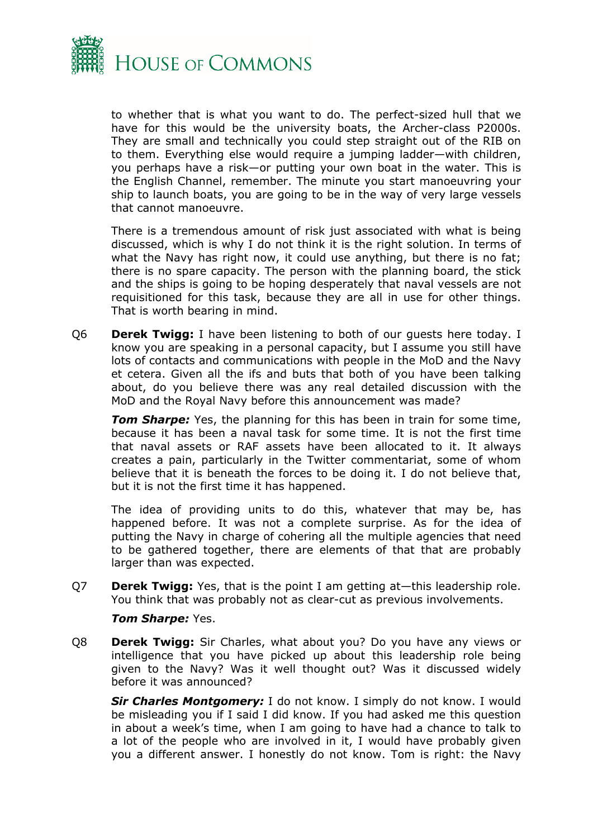

to whether that is what you want to do. The perfect-sized hull that we have for this would be the university boats, the Archer-class P2000s. They are small and technically you could step straight out of the RIB on to them. Everything else would require a jumping ladder—with children, you perhaps have a risk—or putting your own boat in the water. This is the English Channel, remember. The minute you start manoeuvring your ship to launch boats, you are going to be in the way of very large vessels that cannot manoeuvre.

There is a tremendous amount of risk just associated with what is being discussed, which is why I do not think it is the right solution. In terms of what the Navy has right now, it could use anything, but there is no fat; there is no spare capacity. The person with the planning board, the stick and the ships is going to be hoping desperately that naval vessels are not requisitioned for this task, because they are all in use for other things. That is worth bearing in mind.

Q6 **Derek Twigg:** I have been listening to both of our guests here today. I know you are speaking in a personal capacity, but I assume you still have lots of contacts and communications with people in the MoD and the Navy et cetera. Given all the ifs and buts that both of you have been talking about, do you believe there was any real detailed discussion with the MoD and the Royal Navy before this announcement was made?

*Tom Sharpe:* Yes, the planning for this has been in train for some time, because it has been a naval task for some time. It is not the first time that naval assets or RAF assets have been allocated to it. It always creates a pain, particularly in the Twitter commentariat, some of whom believe that it is beneath the forces to be doing it. I do not believe that, but it is not the first time it has happened.

The idea of providing units to do this, whatever that may be, has happened before. It was not a complete surprise. As for the idea of putting the Navy in charge of cohering all the multiple agencies that need to be gathered together, there are elements of that that are probably larger than was expected.

Q7 **Derek Twigg:** Yes, that is the point I am getting at—this leadership role. You think that was probably not as clear-cut as previous involvements.

### *Tom Sharpe:* Yes.

Q8 **Derek Twigg:** Sir Charles, what about you? Do you have any views or intelligence that you have picked up about this leadership role being given to the Navy? Was it well thought out? Was it discussed widely before it was announced?

*Sir Charles Montgomery:* I do not know. I simply do not know. I would be misleading you if I said I did know. If you had asked me this question in about a week's time, when I am going to have had a chance to talk to a lot of the people who are involved in it, I would have probably given you a different answer. I honestly do not know. Tom is right: the Navy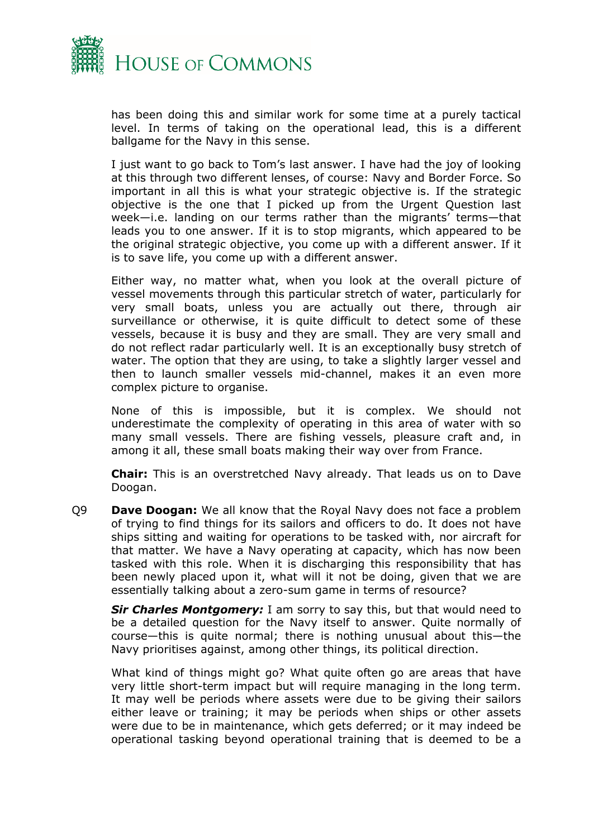

has been doing this and similar work for some time at a purely tactical level. In terms of taking on the operational lead, this is a different ballgame for the Navy in this sense.

I just want to go back to Tom's last answer. I have had the joy of looking at this through two different lenses, of course: Navy and Border Force. So important in all this is what your strategic objective is. If the strategic objective is the one that I picked up from the Urgent Question last week—i.e. landing on our terms rather than the migrants' terms—that leads you to one answer. If it is to stop migrants, which appeared to be the original strategic objective, you come up with a different answer. If it is to save life, you come up with a different answer.

Either way, no matter what, when you look at the overall picture of vessel movements through this particular stretch of water, particularly for very small boats, unless you are actually out there, through air surveillance or otherwise, it is quite difficult to detect some of these vessels, because it is busy and they are small. They are very small and do not reflect radar particularly well. It is an exceptionally busy stretch of water. The option that they are using, to take a slightly larger vessel and then to launch smaller vessels mid-channel, makes it an even more complex picture to organise.

None of this is impossible, but it is complex. We should not underestimate the complexity of operating in this area of water with so many small vessels. There are fishing vessels, pleasure craft and, in among it all, these small boats making their way over from France.

**Chair:** This is an overstretched Navy already. That leads us on to Dave Doogan.

Q9 **Dave Doogan:** We all know that the Royal Navy does not face a problem of trying to find things for its sailors and officers to do. It does not have ships sitting and waiting for operations to be tasked with, nor aircraft for that matter. We have a Navy operating at capacity, which has now been tasked with this role. When it is discharging this responsibility that has been newly placed upon it, what will it not be doing, given that we are essentially talking about a zero-sum game in terms of resource?

*Sir Charles Montgomery:* I am sorry to say this, but that would need to be a detailed question for the Navy itself to answer. Quite normally of course—this is quite normal; there is nothing unusual about this—the Navy prioritises against, among other things, its political direction.

What kind of things might go? What quite often go are areas that have very little short-term impact but will require managing in the long term. It may well be periods where assets were due to be giving their sailors either leave or training; it may be periods when ships or other assets were due to be in maintenance, which gets deferred; or it may indeed be operational tasking beyond operational training that is deemed to be a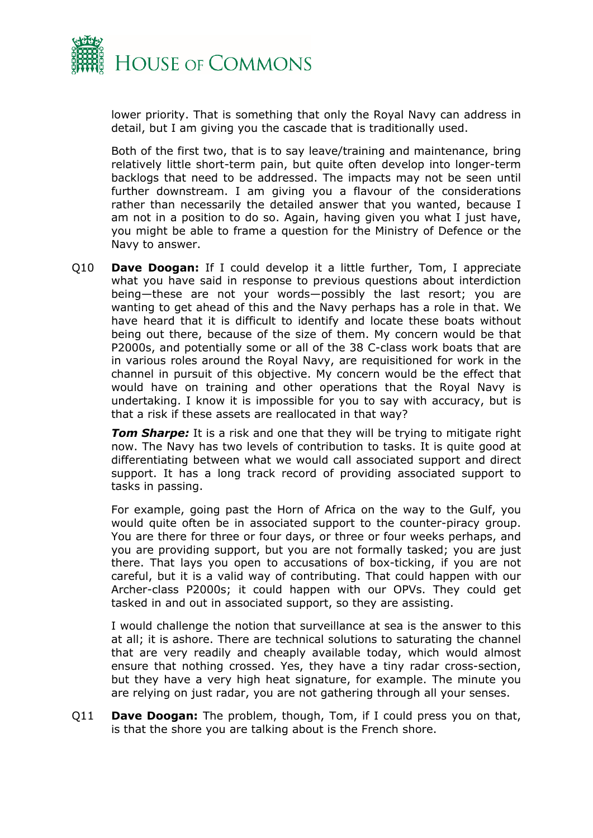

lower priority. That is something that only the Royal Navy can address in detail, but I am giving you the cascade that is traditionally used.

Both of the first two, that is to say leave/training and maintenance, bring relatively little short-term pain, but quite often develop into longer-term backlogs that need to be addressed. The impacts may not be seen until further downstream. I am giving you a flavour of the considerations rather than necessarily the detailed answer that you wanted, because I am not in a position to do so. Again, having given you what I just have, you might be able to frame a question for the Ministry of Defence or the Navy to answer.

Q10 **Dave Doogan:** If I could develop it a little further, Tom, I appreciate what you have said in response to previous questions about interdiction being—these are not your words—possibly the last resort; you are wanting to get ahead of this and the Navy perhaps has a role in that. We have heard that it is difficult to identify and locate these boats without being out there, because of the size of them. My concern would be that P2000s, and potentially some or all of the 38 C-class work boats that are in various roles around the Royal Navy, are requisitioned for work in the channel in pursuit of this objective. My concern would be the effect that would have on training and other operations that the Royal Navy is undertaking. I know it is impossible for you to say with accuracy, but is that a risk if these assets are reallocated in that way?

**Tom Sharpe:** It is a risk and one that they will be trying to mitigate right now. The Navy has two levels of contribution to tasks. It is quite good at differentiating between what we would call associated support and direct support. It has a long track record of providing associated support to tasks in passing.

For example, going past the Horn of Africa on the way to the Gulf, you would quite often be in associated support to the counter-piracy group. You are there for three or four days, or three or four weeks perhaps, and you are providing support, but you are not formally tasked; you are just there. That lays you open to accusations of box-ticking, if you are not careful, but it is a valid way of contributing. That could happen with our Archer-class P2000s; it could happen with our OPVs. They could get tasked in and out in associated support, so they are assisting.

I would challenge the notion that surveillance at sea is the answer to this at all; it is ashore. There are technical solutions to saturating the channel that are very readily and cheaply available today, which would almost ensure that nothing crossed. Yes, they have a tiny radar cross-section, but they have a very high heat signature, for example. The minute you are relying on just radar, you are not gathering through all your senses.

Q11 **Dave Doogan:** The problem, though, Tom, if I could press you on that, is that the shore you are talking about is the French shore.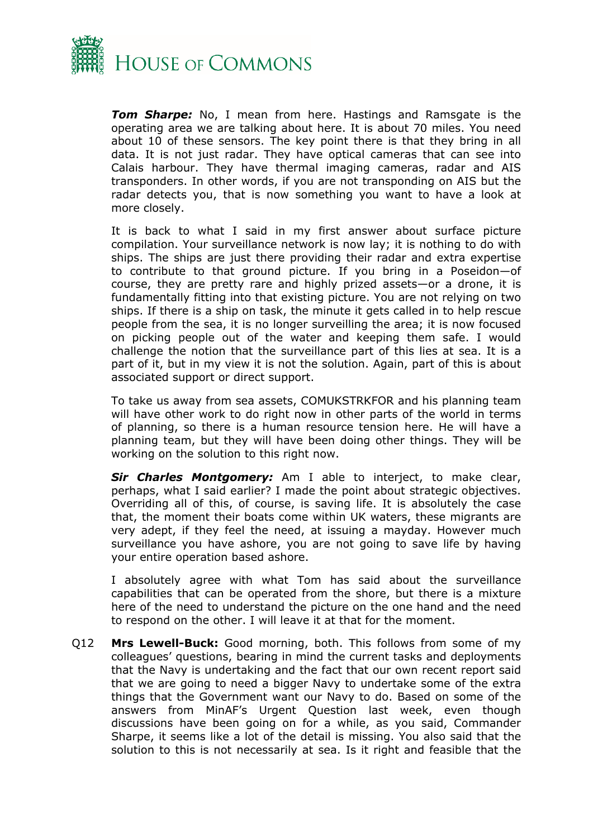

*Tom Sharpe:* No, I mean from here. Hastings and Ramsgate is the operating area we are talking about here. It is about 70 miles. You need about 10 of these sensors. The key point there is that they bring in all data. It is not just radar. They have optical cameras that can see into Calais harbour. They have thermal imaging cameras, radar and AIS transponders. In other words, if you are not transponding on AIS but the radar detects you, that is now something you want to have a look at more closely.

It is back to what I said in my first answer about surface picture compilation. Your surveillance network is now lay; it is nothing to do with ships. The ships are just there providing their radar and extra expertise to contribute to that ground picture. If you bring in a Poseidon—of course, they are pretty rare and highly prized assets—or a drone, it is fundamentally fitting into that existing picture. You are not relying on two ships. If there is a ship on task, the minute it gets called in to help rescue people from the sea, it is no longer surveilling the area; it is now focused on picking people out of the water and keeping them safe. I would challenge the notion that the surveillance part of this lies at sea. It is a part of it, but in my view it is not the solution. Again, part of this is about associated support or direct support.

To take us away from sea assets, COMUKSTRKFOR and his planning team will have other work to do right now in other parts of the world in terms of planning, so there is a human resource tension here. He will have a planning team, but they will have been doing other things. They will be working on the solution to this right now.

*Sir Charles Montgomery:* Am I able to interject, to make clear, perhaps, what I said earlier? I made the point about strategic objectives. Overriding all of this, of course, is saving life. It is absolutely the case that, the moment their boats come within UK waters, these migrants are very adept, if they feel the need, at issuing a mayday. However much surveillance you have ashore, you are not going to save life by having your entire operation based ashore.

I absolutely agree with what Tom has said about the surveillance capabilities that can be operated from the shore, but there is a mixture here of the need to understand the picture on the one hand and the need to respond on the other. I will leave it at that for the moment.

Q12 **Mrs Lewell-Buck:** Good morning, both. This follows from some of my colleagues' questions, bearing in mind the current tasks and deployments that the Navy is undertaking and the fact that our own recent report said that we are going to need a bigger Navy to undertake some of the extra things that the Government want our Navy to do. Based on some of the answers from MinAF's Urgent Question last week, even though discussions have been going on for a while, as you said, Commander Sharpe, it seems like a lot of the detail is missing. You also said that the solution to this is not necessarily at sea. Is it right and feasible that the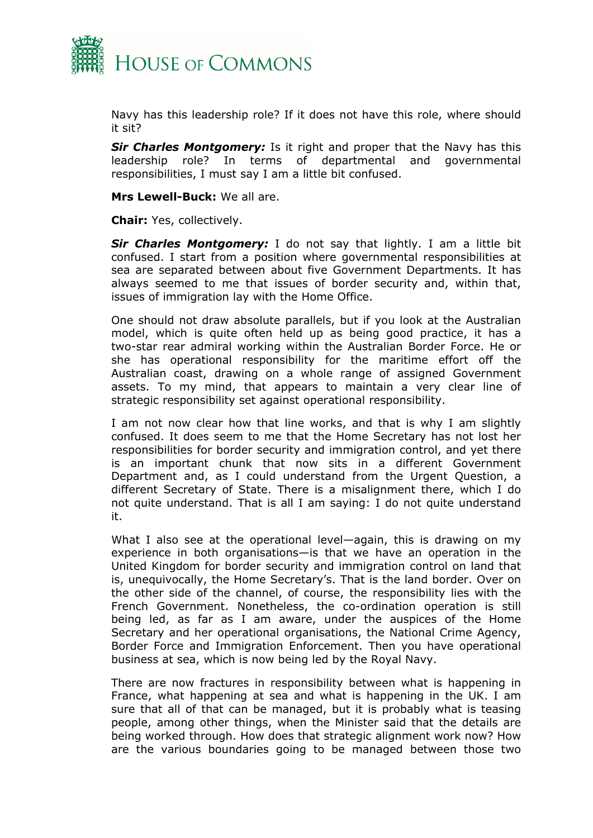

Navy has this leadership role? If it does not have this role, where should it sit?

*Sir Charles Montgomery:* Is it right and proper that the Navy has this leadership role? In terms of departmental and governmental responsibilities, I must say I am a little bit confused.

**Mrs Lewell-Buck:** We all are.

**Chair:** Yes, collectively.

*Sir Charles Montgomery:* I do not say that lightly. I am a little bit confused. I start from a position where governmental responsibilities at sea are separated between about five Government Departments. It has always seemed to me that issues of border security and, within that, issues of immigration lay with the Home Office.

One should not draw absolute parallels, but if you look at the Australian model, which is quite often held up as being good practice, it has a two-star rear admiral working within the Australian Border Force. He or she has operational responsibility for the maritime effort off the Australian coast, drawing on a whole range of assigned Government assets. To my mind, that appears to maintain a very clear line of strategic responsibility set against operational responsibility.

I am not now clear how that line works, and that is why I am slightly confused. It does seem to me that the Home Secretary has not lost her responsibilities for border security and immigration control, and yet there is an important chunk that now sits in a different Government Department and, as I could understand from the Urgent Question, a different Secretary of State. There is a misalignment there, which I do not quite understand. That is all I am saying: I do not quite understand it.

What I also see at the operational level—again, this is drawing on my experience in both organisations—is that we have an operation in the United Kingdom for border security and immigration control on land that is, unequivocally, the Home Secretary's. That is the land border. Over on the other side of the channel, of course, the responsibility lies with the French Government. Nonetheless, the co-ordination operation is still being led, as far as I am aware, under the auspices of the Home Secretary and her operational organisations, the National Crime Agency, Border Force and Immigration Enforcement. Then you have operational business at sea, which is now being led by the Royal Navy.

There are now fractures in responsibility between what is happening in France, what happening at sea and what is happening in the UK. I am sure that all of that can be managed, but it is probably what is teasing people, among other things, when the Minister said that the details are being worked through. How does that strategic alignment work now? How are the various boundaries going to be managed between those two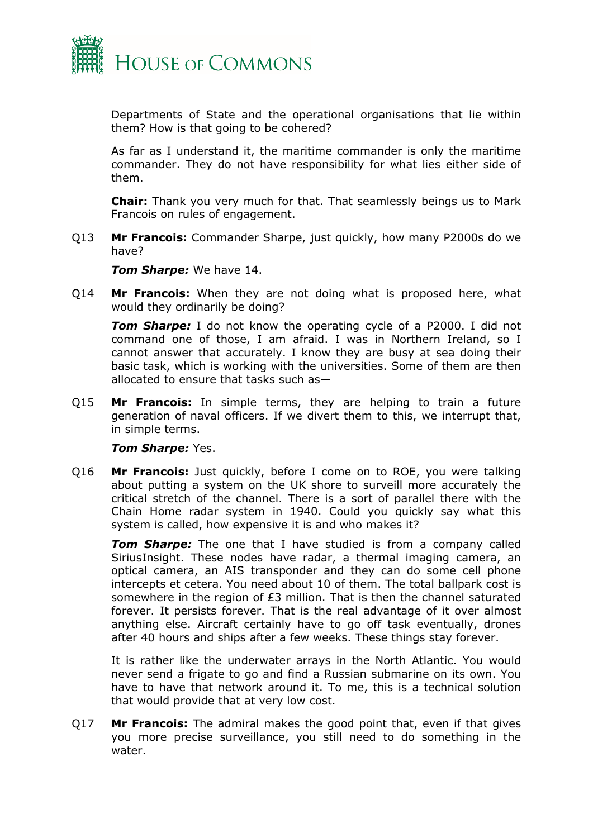

Departments of State and the operational organisations that lie within them? How is that going to be cohered?

As far as I understand it, the maritime commander is only the maritime commander. They do not have responsibility for what lies either side of them.

**Chair:** Thank you very much for that. That seamlessly beings us to Mark Francois on rules of engagement.

Q13 **Mr Francois:** Commander Sharpe, just quickly, how many P2000s do we have?

*Tom Sharpe:* We have 14.

Q14 **Mr Francois:** When they are not doing what is proposed here, what would they ordinarily be doing?

*Tom Sharpe:* I do not know the operating cycle of a P2000. I did not command one of those, I am afraid. I was in Northern Ireland, so I cannot answer that accurately. I know they are busy at sea doing their basic task, which is working with the universities. Some of them are then allocated to ensure that tasks such as—

Q15 **Mr Francois:** In simple terms, they are helping to train a future generation of naval officers. If we divert them to this, we interrupt that, in simple terms.

### *Tom Sharpe:* Yes.

Q16 **Mr Francois:** Just quickly, before I come on to ROE, you were talking about putting a system on the UK shore to surveill more accurately the critical stretch of the channel. There is a sort of parallel there with the Chain Home radar system in 1940. Could you quickly say what this system is called, how expensive it is and who makes it?

**Tom Sharpe:** The one that I have studied is from a company called SiriusInsight. These nodes have radar, a thermal imaging camera, an optical camera, an AIS transponder and they can do some cell phone intercepts et cetera. You need about 10 of them. The total ballpark cost is somewhere in the region of  $E3$  million. That is then the channel saturated forever. It persists forever. That is the real advantage of it over almost anything else. Aircraft certainly have to go off task eventually, drones after 40 hours and ships after a few weeks. These things stay forever.

It is rather like the underwater arrays in the North Atlantic. You would never send a frigate to go and find a Russian submarine on its own. You have to have that network around it. To me, this is a technical solution that would provide that at very low cost.

Q17 **Mr Francois:** The admiral makes the good point that, even if that gives you more precise surveillance, you still need to do something in the water.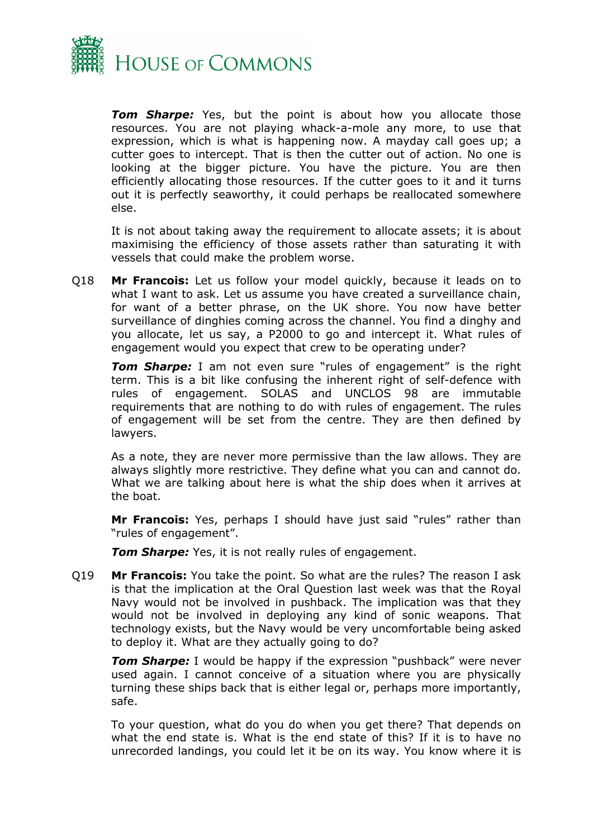

*Tom Sharpe:* Yes, but the point is about how you allocate those resources. You are not playing whack-a-mole any more, to use that expression, which is what is happening now. A mayday call goes up; a cutter goes to intercept. That is then the cutter out of action. No one is looking at the bigger picture. You have the picture. You are then efficiently allocating those resources. If the cutter goes to it and it turns out it is perfectly seaworthy, it could perhaps be reallocated somewhere else.

It is not about taking away the requirement to allocate assets; it is about maximising the efficiency of those assets rather than saturating it with vessels that could make the problem worse.

Q18 **Mr Francois:** Let us follow your model quickly, because it leads on to what I want to ask. Let us assume you have created a surveillance chain, for want of a better phrase, on the UK shore. You now have better surveillance of dinghies coming across the channel. You find a dinghy and you allocate, let us say, a P2000 to go and intercept it. What rules of engagement would you expect that crew to be operating under?

**Tom Sharpe:** I am not even sure "rules of engagement" is the right term. This is a bit like confusing the inherent right of self-defence with rules of engagement. SOLAS and UNCLOS 98 are immutable requirements that are nothing to do with rules of engagement. The rules of engagement will be set from the centre. They are then defined by lawyers.

As a note, they are never more permissive than the law allows. They are always slightly more restrictive. They define what you can and cannot do. What we are talking about here is what the ship does when it arrives at the boat.

**Mr Francois:** Yes, perhaps I should have just said "rules" rather than "rules of engagement".

*Tom Sharpe:* Yes, it is not really rules of engagement.

Q19 **Mr Francois:** You take the point. So what are the rules? The reason I ask is that the implication at the Oral Question last week was that the Royal Navy would not be involved in pushback. The implication was that they would not be involved in deploying any kind of sonic weapons. That technology exists, but the Navy would be very uncomfortable being asked to deploy it. What are they actually going to do?

*Tom Sharpe:* I would be happy if the expression "pushback" were never used again. I cannot conceive of a situation where you are physically turning these ships back that is either legal or, perhaps more importantly, safe.

To your question, what do you do when you get there? That depends on what the end state is. What is the end state of this? If it is to have no unrecorded landings, you could let it be on its way. You know where it is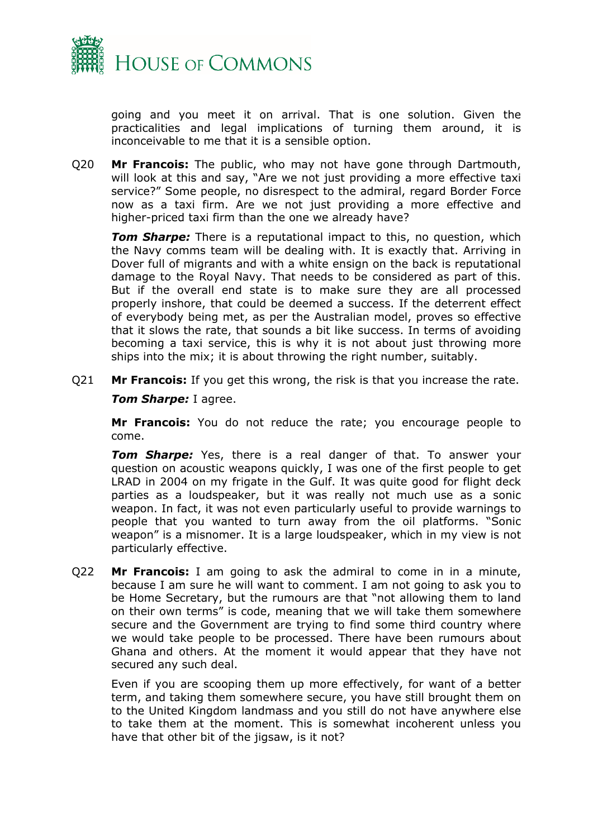

going and you meet it on arrival. That is one solution. Given the practicalities and legal implications of turning them around, it is inconceivable to me that it is a sensible option.

Q20 **Mr Francois:** The public, who may not have gone through Dartmouth, will look at this and say, "Are we not just providing a more effective taxi service?" Some people, no disrespect to the admiral, regard Border Force now as a taxi firm. Are we not just providing a more effective and higher-priced taxi firm than the one we already have?

*Tom Sharpe:* There is a reputational impact to this, no question, which the Navy comms team will be dealing with. It is exactly that. Arriving in Dover full of migrants and with a white ensign on the back is reputational damage to the Royal Navy. That needs to be considered as part of this. But if the overall end state is to make sure they are all processed properly inshore, that could be deemed a success. If the deterrent effect of everybody being met, as per the Australian model, proves so effective that it slows the rate, that sounds a bit like success. In terms of avoiding becoming a taxi service, this is why it is not about just throwing more ships into the mix; it is about throwing the right number, suitably.

Q21 **Mr Francois:** If you get this wrong, the risk is that you increase the rate.

### *Tom Sharpe:* I agree.

**Mr Francois:** You do not reduce the rate; you encourage people to come.

*Tom Sharpe:* Yes, there is a real danger of that. To answer your question on acoustic weapons quickly, I was one of the first people to get LRAD in 2004 on my frigate in the Gulf. It was quite good for flight deck parties as a loudspeaker, but it was really not much use as a sonic weapon. In fact, it was not even particularly useful to provide warnings to people that you wanted to turn away from the oil platforms. "Sonic weapon" is a misnomer. It is a large loudspeaker, which in my view is not particularly effective.

Q22 **Mr Francois:** I am going to ask the admiral to come in in a minute, because I am sure he will want to comment. I am not going to ask you to be Home Secretary, but the rumours are that "not allowing them to land on their own terms" is code, meaning that we will take them somewhere secure and the Government are trying to find some third country where we would take people to be processed. There have been rumours about Ghana and others. At the moment it would appear that they have not secured any such deal.

Even if you are scooping them up more effectively, for want of a better term, and taking them somewhere secure, you have still brought them on to the United Kingdom landmass and you still do not have anywhere else to take them at the moment. This is somewhat incoherent unless you have that other bit of the jigsaw, is it not?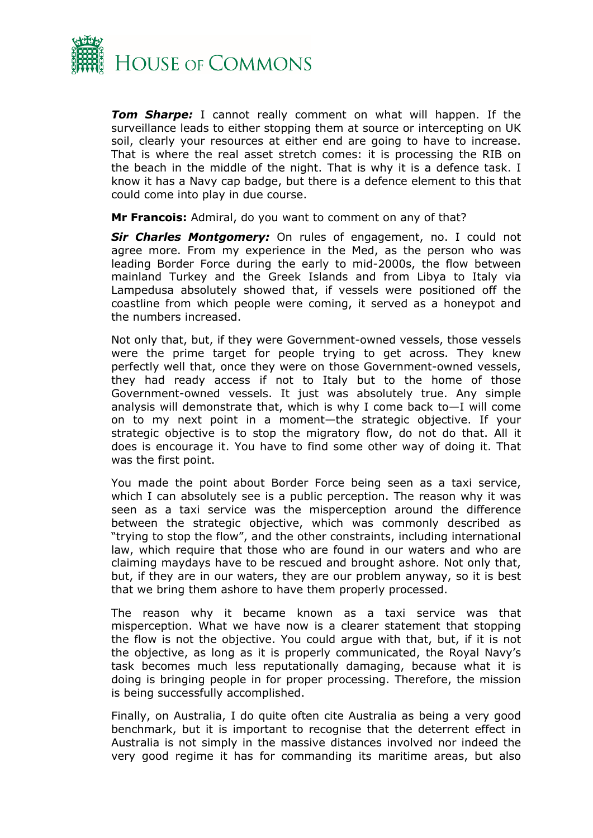

*Tom Sharpe:* I cannot really comment on what will happen. If the surveillance leads to either stopping them at source or intercepting on UK soil, clearly your resources at either end are going to have to increase. That is where the real asset stretch comes: it is processing the RIB on the beach in the middle of the night. That is why it is a defence task. I know it has a Navy cap badge, but there is a defence element to this that could come into play in due course.

**Mr Francois:** Admiral, do you want to comment on any of that?

*Sir Charles Montgomery:* On rules of engagement, no. I could not agree more. From my experience in the Med, as the person who was leading Border Force during the early to mid-2000s, the flow between mainland Turkey and the Greek Islands and from Libya to Italy via Lampedusa absolutely showed that, if vessels were positioned off the coastline from which people were coming, it served as a honeypot and the numbers increased.

Not only that, but, if they were Government-owned vessels, those vessels were the prime target for people trying to get across. They knew perfectly well that, once they were on those Government-owned vessels, they had ready access if not to Italy but to the home of those Government-owned vessels. It just was absolutely true. Any simple analysis will demonstrate that, which is why I come back to—I will come on to my next point in a moment—the strategic objective. If your strategic objective is to stop the migratory flow, do not do that. All it does is encourage it. You have to find some other way of doing it. That was the first point.

You made the point about Border Force being seen as a taxi service, which I can absolutely see is a public perception. The reason why it was seen as a taxi service was the misperception around the difference between the strategic objective, which was commonly described as "trying to stop the flow", and the other constraints, including international law, which require that those who are found in our waters and who are claiming maydays have to be rescued and brought ashore. Not only that, but, if they are in our waters, they are our problem anyway, so it is best that we bring them ashore to have them properly processed.

The reason why it became known as a taxi service was that misperception. What we have now is a clearer statement that stopping the flow is not the objective. You could argue with that, but, if it is not the objective, as long as it is properly communicated, the Royal Navy's task becomes much less reputationally damaging, because what it is doing is bringing people in for proper processing. Therefore, the mission is being successfully accomplished.

Finally, on Australia, I do quite often cite Australia as being a very good benchmark, but it is important to recognise that the deterrent effect in Australia is not simply in the massive distances involved nor indeed the very good regime it has for commanding its maritime areas, but also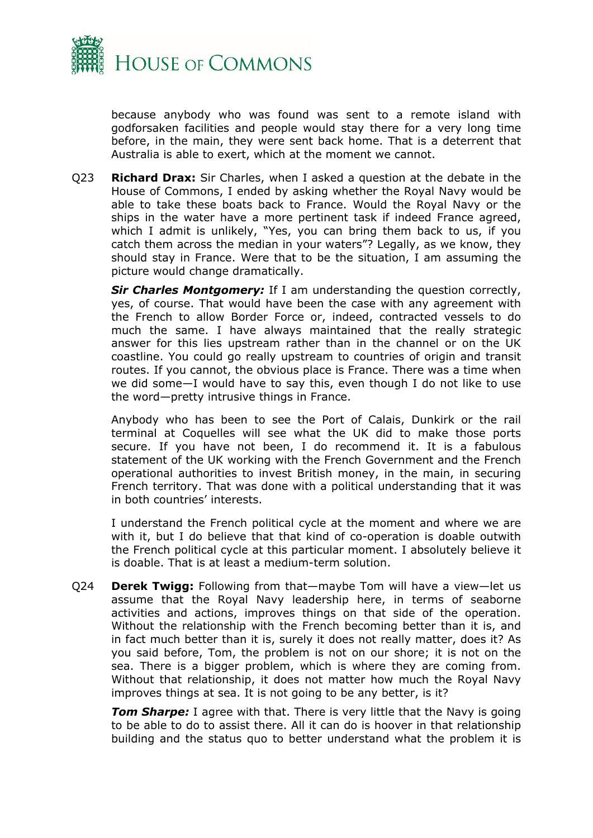

because anybody who was found was sent to a remote island with godforsaken facilities and people would stay there for a very long time before, in the main, they were sent back home. That is a deterrent that Australia is able to exert, which at the moment we cannot.

Q23 **Richard Drax:** Sir Charles, when I asked a question at the debate in the House of Commons, I ended by asking whether the Royal Navy would be able to take these boats back to France. Would the Royal Navy or the ships in the water have a more pertinent task if indeed France agreed, which I admit is unlikely, "Yes, you can bring them back to us, if you catch them across the median in your waters"? Legally, as we know, they should stay in France. Were that to be the situation, I am assuming the picture would change dramatically.

*Sir Charles Montgomery:* If I am understanding the question correctly, yes, of course. That would have been the case with any agreement with the French to allow Border Force or, indeed, contracted vessels to do much the same. I have always maintained that the really strategic answer for this lies upstream rather than in the channel or on the UK coastline. You could go really upstream to countries of origin and transit routes. If you cannot, the obvious place is France. There was a time when we did some—I would have to say this, even though I do not like to use the word—pretty intrusive things in France.

Anybody who has been to see the Port of Calais, Dunkirk or the rail terminal at Coquelles will see what the UK did to make those ports secure. If you have not been, I do recommend it. It is a fabulous statement of the UK working with the French Government and the French operational authorities to invest British money, in the main, in securing French territory. That was done with a political understanding that it was in both countries' interests.

I understand the French political cycle at the moment and where we are with it, but I do believe that that kind of co-operation is doable outwith the French political cycle at this particular moment. I absolutely believe it is doable. That is at least a medium-term solution.

Q24 **Derek Twigg:** Following from that—maybe Tom will have a view—let us assume that the Royal Navy leadership here, in terms of seaborne activities and actions, improves things on that side of the operation. Without the relationship with the French becoming better than it is, and in fact much better than it is, surely it does not really matter, does it? As you said before, Tom, the problem is not on our shore; it is not on the sea. There is a bigger problem, which is where they are coming from. Without that relationship, it does not matter how much the Royal Navy improves things at sea. It is not going to be any better, is it?

**Tom Sharpe:** I agree with that. There is very little that the Navy is going to be able to do to assist there. All it can do is hoover in that relationship building and the status quo to better understand what the problem it is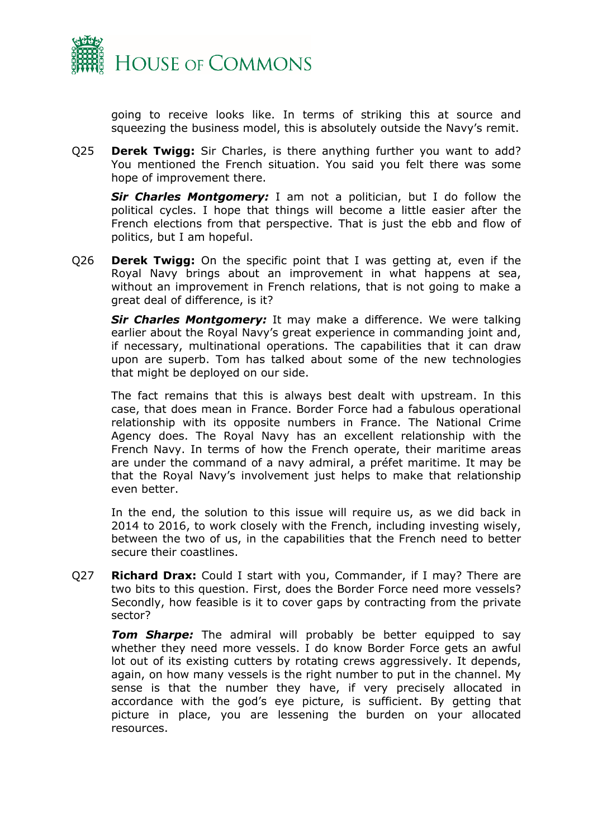

going to receive looks like. In terms of striking this at source and squeezing the business model, this is absolutely outside the Navy's remit.

Q25 **Derek Twigg:** Sir Charles, is there anything further you want to add? You mentioned the French situation. You said you felt there was some hope of improvement there.

*Sir Charles Montgomery:* I am not a politician, but I do follow the political cycles. I hope that things will become a little easier after the French elections from that perspective. That is just the ebb and flow of politics, but I am hopeful.

Q26 **Derek Twigg:** On the specific point that I was getting at, even if the Royal Navy brings about an improvement in what happens at sea, without an improvement in French relations, that is not going to make a great deal of difference, is it?

*Sir Charles Montgomery:* It may make a difference. We were talking earlier about the Royal Navy's great experience in commanding joint and, if necessary, multinational operations. The capabilities that it can draw upon are superb. Tom has talked about some of the new technologies that might be deployed on our side.

The fact remains that this is always best dealt with upstream. In this case, that does mean in France. Border Force had a fabulous operational relationship with its opposite numbers in France. The National Crime Agency does. The Royal Navy has an excellent relationship with the French Navy. In terms of how the French operate, their maritime areas are under the command of a navy admiral, a préfet maritime. It may be that the Royal Navy's involvement just helps to make that relationship even better.

In the end, the solution to this issue will require us, as we did back in 2014 to 2016, to work closely with the French, including investing wisely, between the two of us, in the capabilities that the French need to better secure their coastlines.

Q27 **Richard Drax:** Could I start with you, Commander, if I may? There are two bits to this question. First, does the Border Force need more vessels? Secondly, how feasible is it to cover gaps by contracting from the private sector?

*Tom Sharpe:* The admiral will probably be better equipped to say whether they need more vessels. I do know Border Force gets an awful lot out of its existing cutters by rotating crews aggressively. It depends, again, on how many vessels is the right number to put in the channel. My sense is that the number they have, if very precisely allocated in accordance with the god's eye picture, is sufficient. By getting that picture in place, you are lessening the burden on your allocated resources.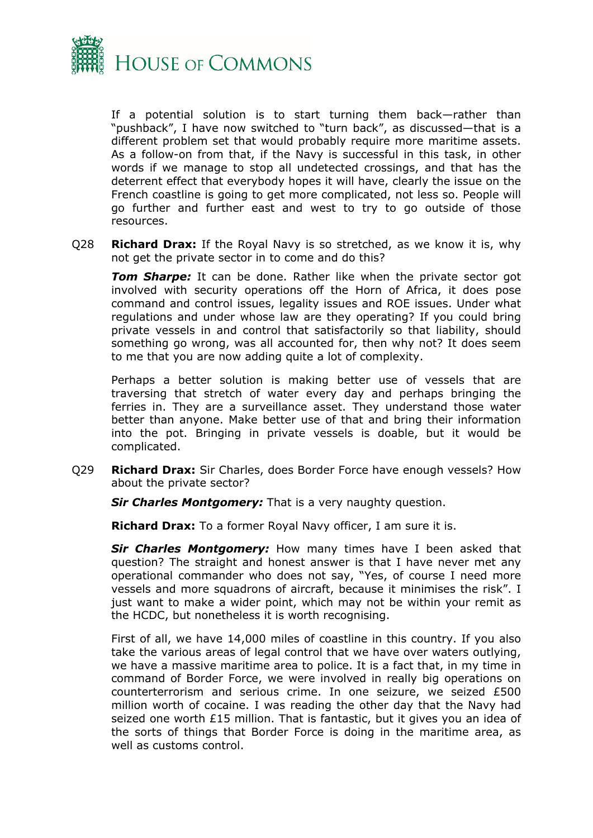

If a potential solution is to start turning them back—rather than "pushback", I have now switched to "turn back", as discussed—that is a different problem set that would probably require more maritime assets. As a follow-on from that, if the Navy is successful in this task, in other words if we manage to stop all undetected crossings, and that has the deterrent effect that everybody hopes it will have, clearly the issue on the French coastline is going to get more complicated, not less so. People will go further and further east and west to try to go outside of those resources.

Q28 **Richard Drax:** If the Royal Navy is so stretched, as we know it is, why not get the private sector in to come and do this?

**Tom Sharpe:** It can be done. Rather like when the private sector got involved with security operations off the Horn of Africa, it does pose command and control issues, legality issues and ROE issues. Under what regulations and under whose law are they operating? If you could bring private vessels in and control that satisfactorily so that liability, should something go wrong, was all accounted for, then why not? It does seem to me that you are now adding quite a lot of complexity.

Perhaps a better solution is making better use of vessels that are traversing that stretch of water every day and perhaps bringing the ferries in. They are a surveillance asset. They understand those water better than anyone. Make better use of that and bring their information into the pot. Bringing in private vessels is doable, but it would be complicated.

Q29 **Richard Drax:** Sir Charles, does Border Force have enough vessels? How about the private sector?

*Sir Charles Montgomery:* That is a very naughty question.

**Richard Drax:** To a former Royal Navy officer, I am sure it is.

*Sir Charles Montgomery:* How many times have I been asked that question? The straight and honest answer is that I have never met any operational commander who does not say, "Yes, of course I need more vessels and more squadrons of aircraft, because it minimises the risk". I just want to make a wider point, which may not be within your remit as the HCDC, but nonetheless it is worth recognising.

First of all, we have 14,000 miles of coastline in this country. If you also take the various areas of legal control that we have over waters outlying, we have a massive maritime area to police. It is a fact that, in my time in command of Border Force, we were involved in really big operations on counterterrorism and serious crime. In one seizure, we seized £500 million worth of cocaine. I was reading the other day that the Navy had seized one worth £15 million. That is fantastic, but it gives you an idea of the sorts of things that Border Force is doing in the maritime area, as well as customs control.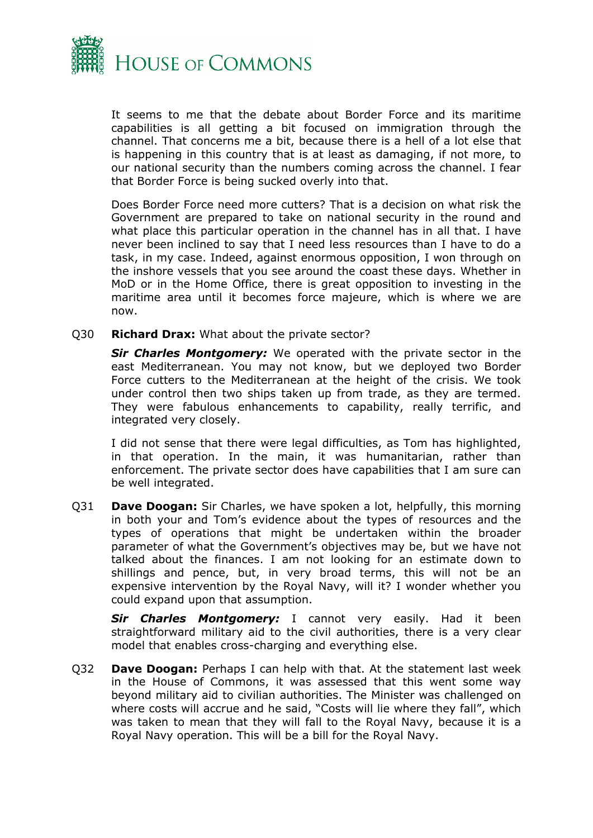

It seems to me that the debate about Border Force and its maritime capabilities is all getting a bit focused on immigration through the channel. That concerns me a bit, because there is a hell of a lot else that is happening in this country that is at least as damaging, if not more, to our national security than the numbers coming across the channel. I fear that Border Force is being sucked overly into that.

Does Border Force need more cutters? That is a decision on what risk the Government are prepared to take on national security in the round and what place this particular operation in the channel has in all that. I have never been inclined to say that I need less resources than I have to do a task, in my case. Indeed, against enormous opposition, I won through on the inshore vessels that you see around the coast these days. Whether in MoD or in the Home Office, there is great opposition to investing in the maritime area until it becomes force majeure, which is where we are now.

Q30 **Richard Drax:** What about the private sector?

*Sir Charles Montgomery:* We operated with the private sector in the east Mediterranean. You may not know, but we deployed two Border Force cutters to the Mediterranean at the height of the crisis. We took under control then two ships taken up from trade, as they are termed. They were fabulous enhancements to capability, really terrific, and integrated very closely.

I did not sense that there were legal difficulties, as Tom has highlighted, in that operation. In the main, it was humanitarian, rather than enforcement. The private sector does have capabilities that I am sure can be well integrated.

Q31 **Dave Doogan:** Sir Charles, we have spoken a lot, helpfully, this morning in both your and Tom's evidence about the types of resources and the types of operations that might be undertaken within the broader parameter of what the Government's objectives may be, but we have not talked about the finances. I am not looking for an estimate down to shillings and pence, but, in very broad terms, this will not be an expensive intervention by the Royal Navy, will it? I wonder whether you could expand upon that assumption.

*Sir Charles Montgomery:* I cannot very easily. Had it been straightforward military aid to the civil authorities, there is a very clear model that enables cross-charging and everything else.

Q32 **Dave Doogan:** Perhaps I can help with that. At the statement last week in the House of Commons, it was assessed that this went some way beyond military aid to civilian authorities. The Minister was challenged on where costs will accrue and he said, "Costs will lie where they fall", which was taken to mean that they will fall to the Royal Navy, because it is a Royal Navy operation. This will be a bill for the Royal Navy.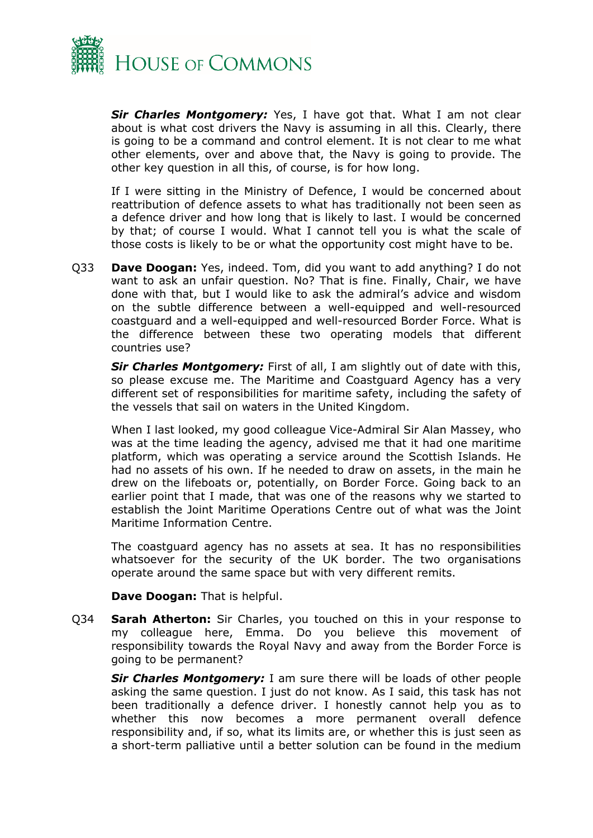

*Sir Charles Montgomery:* Yes, I have got that. What I am not clear about is what cost drivers the Navy is assuming in all this. Clearly, there is going to be a command and control element. It is not clear to me what other elements, over and above that, the Navy is going to provide. The other key question in all this, of course, is for how long.

If I were sitting in the Ministry of Defence, I would be concerned about reattribution of defence assets to what has traditionally not been seen as a defence driver and how long that is likely to last. I would be concerned by that; of course I would. What I cannot tell you is what the scale of those costs is likely to be or what the opportunity cost might have to be.

Q33 **Dave Doogan:** Yes, indeed. Tom, did you want to add anything? I do not want to ask an unfair question. No? That is fine. Finally, Chair, we have done with that, but I would like to ask the admiral's advice and wisdom on the subtle difference between a well-equipped and well-resourced coastguard and a well-equipped and well-resourced Border Force. What is the difference between these two operating models that different countries use?

*Sir Charles Montgomery:* First of all, I am slightly out of date with this, so please excuse me. The Maritime and Coastguard Agency has a very different set of responsibilities for maritime safety, including the safety of the vessels that sail on waters in the United Kingdom.

When I last looked, my good colleague Vice-Admiral Sir Alan Massey, who was at the time leading the agency, advised me that it had one maritime platform, which was operating a service around the Scottish Islands. He had no assets of his own. If he needed to draw on assets, in the main he drew on the lifeboats or, potentially, on Border Force. Going back to an earlier point that I made, that was one of the reasons why we started to establish the Joint Maritime Operations Centre out of what was the Joint Maritime Information Centre.

The coastguard agency has no assets at sea. It has no responsibilities whatsoever for the security of the UK border. The two organisations operate around the same space but with very different remits.

**Dave Doogan:** That is helpful.

Q34 **Sarah Atherton:** Sir Charles, you touched on this in your response to my colleague here, Emma. Do you believe this movement of responsibility towards the Royal Navy and away from the Border Force is going to be permanent?

*Sir Charles Montgomery:* I am sure there will be loads of other people asking the same question. I just do not know. As I said, this task has not been traditionally a defence driver. I honestly cannot help you as to whether this now becomes a more permanent overall defence responsibility and, if so, what its limits are, or whether this is just seen as a short-term palliative until a better solution can be found in the medium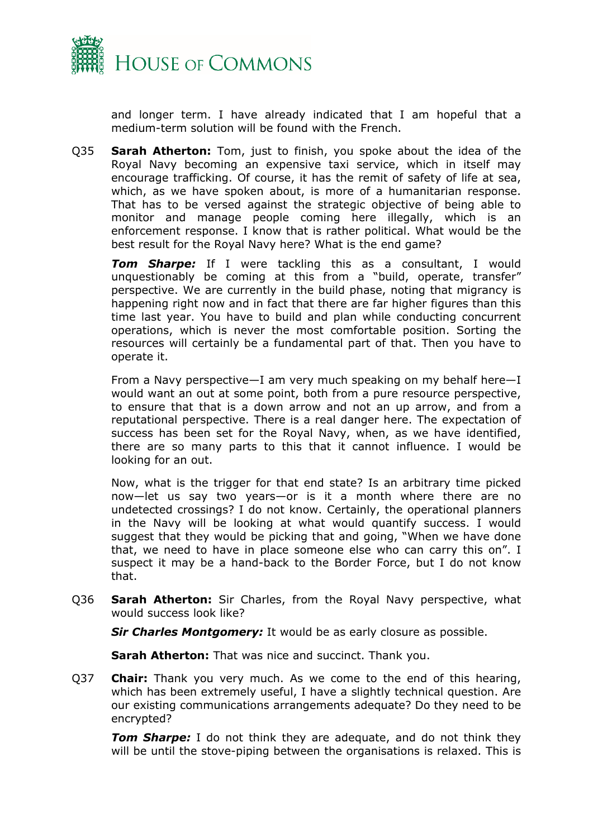

and longer term. I have already indicated that I am hopeful that a medium-term solution will be found with the French.

Q35 **Sarah Atherton:** Tom, just to finish, you spoke about the idea of the Royal Navy becoming an expensive taxi service, which in itself may encourage trafficking. Of course, it has the remit of safety of life at sea, which, as we have spoken about, is more of a humanitarian response. That has to be versed against the strategic objective of being able to monitor and manage people coming here illegally, which is an enforcement response. I know that is rather political. What would be the best result for the Royal Navy here? What is the end game?

*Tom Sharpe:* If I were tackling this as a consultant, I would unquestionably be coming at this from a "build, operate, transfer" perspective. We are currently in the build phase, noting that migrancy is happening right now and in fact that there are far higher figures than this time last year. You have to build and plan while conducting concurrent operations, which is never the most comfortable position. Sorting the resources will certainly be a fundamental part of that. Then you have to operate it.

From a Navy perspective—I am very much speaking on my behalf here—I would want an out at some point, both from a pure resource perspective, to ensure that that is a down arrow and not an up arrow, and from a reputational perspective. There is a real danger here. The expectation of success has been set for the Royal Navy, when, as we have identified, there are so many parts to this that it cannot influence. I would be looking for an out.

Now, what is the trigger for that end state? Is an arbitrary time picked now—let us say two years—or is it a month where there are no undetected crossings? I do not know. Certainly, the operational planners in the Navy will be looking at what would quantify success. I would suggest that they would be picking that and going, "When we have done that, we need to have in place someone else who can carry this on". I suspect it may be a hand-back to the Border Force, but I do not know that.

Q36 **Sarah Atherton:** Sir Charles, from the Royal Navy perspective, what would success look like?

**Sir Charles Montgomery:** It would be as early closure as possible.

**Sarah Atherton:** That was nice and succinct. Thank you.

Q37 **Chair:** Thank you very much. As we come to the end of this hearing, which has been extremely useful, I have a slightly technical question. Are our existing communications arrangements adequate? Do they need to be encrypted?

**Tom Sharpe:** I do not think they are adequate, and do not think they will be until the stove-piping between the organisations is relaxed. This is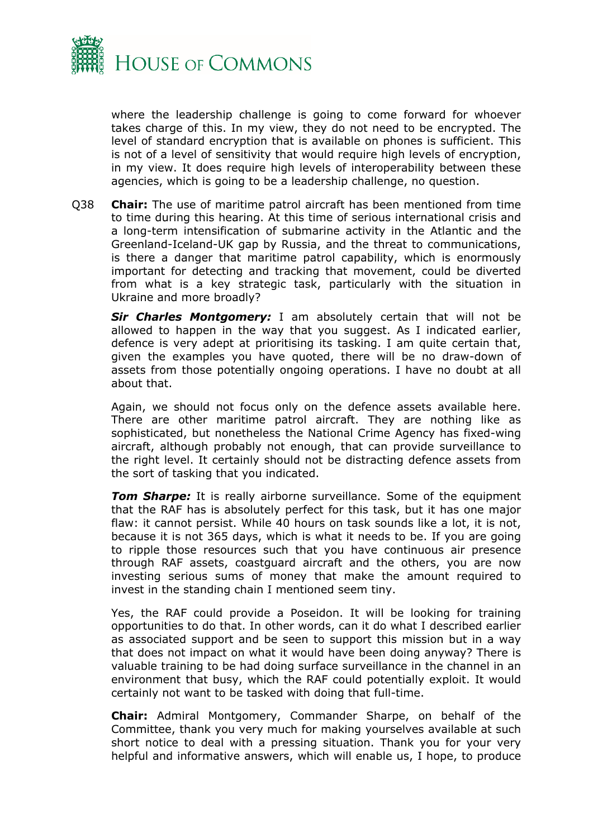

where the leadership challenge is going to come forward for whoever takes charge of this. In my view, they do not need to be encrypted. The level of standard encryption that is available on phones is sufficient. This is not of a level of sensitivity that would require high levels of encryption, in my view. It does require high levels of interoperability between these agencies, which is going to be a leadership challenge, no question.

Q38 **Chair:** The use of maritime patrol aircraft has been mentioned from time to time during this hearing. At this time of serious international crisis and a long-term intensification of submarine activity in the Atlantic and the Greenland-Iceland-UK gap by Russia, and the threat to communications, is there a danger that maritime patrol capability, which is enormously important for detecting and tracking that movement, could be diverted from what is a key strategic task, particularly with the situation in Ukraine and more broadly?

*Sir Charles Montgomery:* I am absolutely certain that will not be allowed to happen in the way that you suggest. As I indicated earlier, defence is very adept at prioritising its tasking. I am quite certain that, given the examples you have quoted, there will be no draw-down of assets from those potentially ongoing operations. I have no doubt at all about that.

Again, we should not focus only on the defence assets available here. There are other maritime patrol aircraft. They are nothing like as sophisticated, but nonetheless the National Crime Agency has fixed-wing aircraft, although probably not enough, that can provide surveillance to the right level. It certainly should not be distracting defence assets from the sort of tasking that you indicated.

**Tom Sharpe:** It is really airborne surveillance. Some of the equipment that the RAF has is absolutely perfect for this task, but it has one major flaw: it cannot persist. While 40 hours on task sounds like a lot, it is not, because it is not 365 days, which is what it needs to be. If you are going to ripple those resources such that you have continuous air presence through RAF assets, coastguard aircraft and the others, you are now investing serious sums of money that make the amount required to invest in the standing chain I mentioned seem tiny.

Yes, the RAF could provide a Poseidon. It will be looking for training opportunities to do that. In other words, can it do what I described earlier as associated support and be seen to support this mission but in a way that does not impact on what it would have been doing anyway? There is valuable training to be had doing surface surveillance in the channel in an environment that busy, which the RAF could potentially exploit. It would certainly not want to be tasked with doing that full-time.

**Chair:** Admiral Montgomery, Commander Sharpe, on behalf of the Committee, thank you very much for making yourselves available at such short notice to deal with a pressing situation. Thank you for your very helpful and informative answers, which will enable us, I hope, to produce